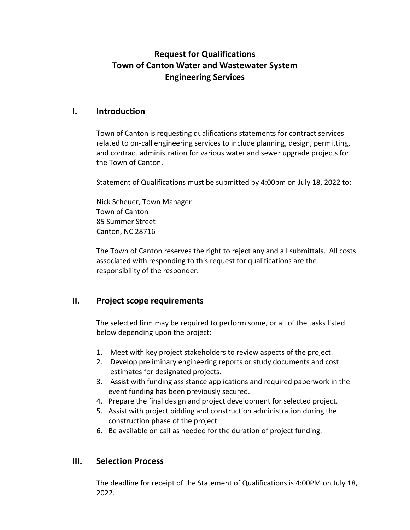# **Request for Qualifications Town of Canton Water and Wastewater System Engineering Services**

#### **I. Introduction**

Town of Canton is requesting qualifications statements for contract services related to on-call engineering services to include planning, design, permitting, and contract administration for various water and sewer upgrade projects for the Town of Canton.

Statement of Qualifications must be submitted by 4:00pm on July 18, 2022 to:

Nick Scheuer, Town Manager Town of Canton 85 Summer Street Canton, NC 28716

The Town of Canton reserves the right to reject any and all submittals. All costs associated with responding to this request for qualifications are the responsibility of the responder.

#### **II. Project scope requirements**

The selected firm may be required to perform some, or all of the tasks listed below depending upon the project:

- 1. Meet with key project stakeholders to review aspects of the project.
- 2. Develop preliminary engineering reports or study documents and cost estimates for designated projects.
- 3. Assist with funding assistance applications and required paperwork in the event funding has been previously secured.
- 4. Prepare the final design and project development for selected project.
- 5. Assist with project bidding and construction administration during the construction phase of the project.
- 6. Be available on call as needed for the duration of project funding.

## **III. Selection Process**

The deadline for receipt of the Statement of Qualifications is 4:00PM on July 18, 2022.